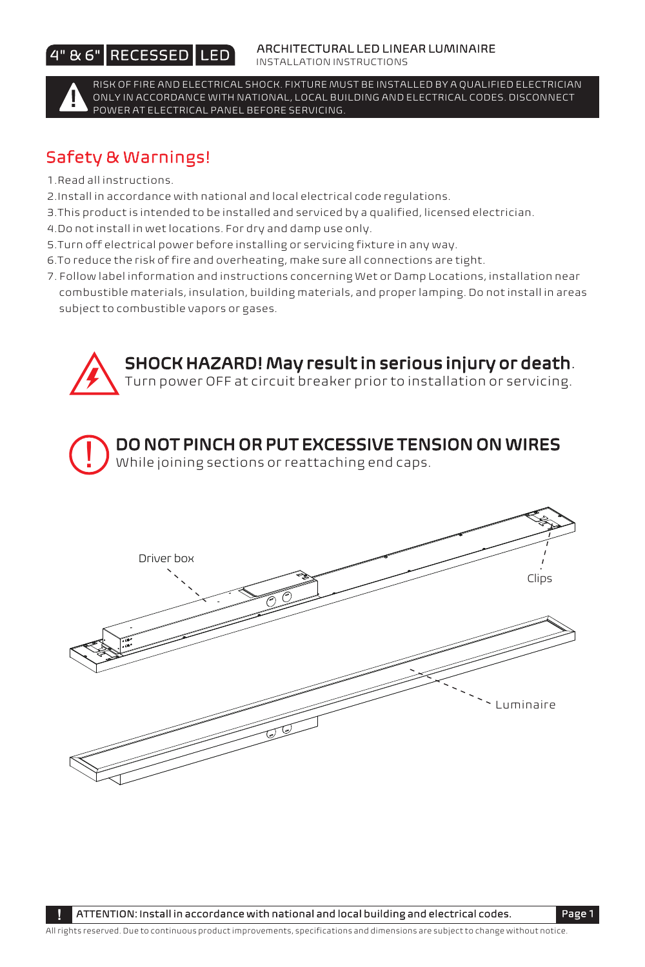## 4" & 6" RECESSED LED

#### ARCHITECTURAL LED LINEAR LUMINAIRE

INSTALLATION INSTRUCTIONS



RISK OF FIRE AND ELECTRICAL SHOCK. FIXTURE MUST BE INSTALLED BY A QUALIFIED ELECTRICIAN ONLY IN ACCORDANCE WITH NATIONAL, LOCAL BUILDING AND ELECTRICAL CODES. DISCONNECT POWER AT ELECTRICAL PANEL BEFORE SERVICING.

# Safety & Warnings!

- 1.Read all instructions.
- 2.Install in accordance with national and local electrical code regulations.
- 3.This product is intended to be installed and serviced by a qualified, licensed electrician.
- 4.Do not install in wet locations. For dry and damp use only.
- 5.Turn off electrical power before installing or servicing fixture in any way.
- 6.To reduce the risk of fire and overheating, make sure all connections are tight.
- 7. Follow label information and instructions concerning Wet or Damp Locations, installation near combustible materials, insulation, building materials, and proper lamping. Do not install in areas subject to combustible vapors or gases.



All rights reserved. Due to continuous product improvements, specifications and dimensions are subject to change without notice.